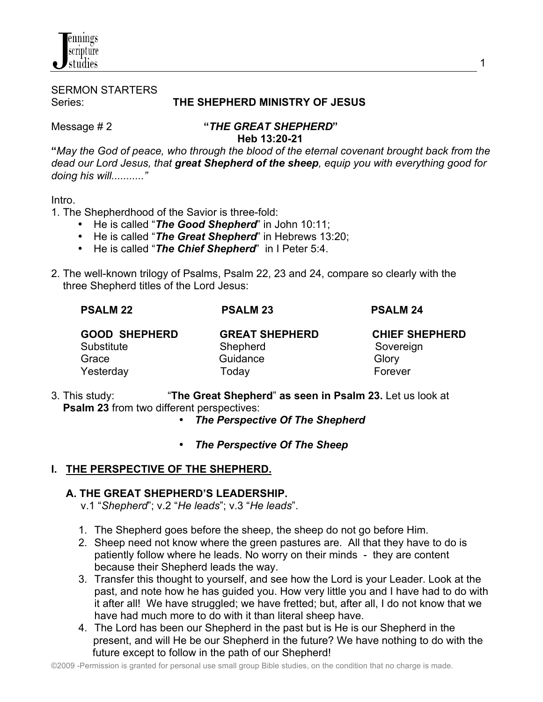# SERMON STARTERS

#### Series: **THE SHEPHERD MINISTRY OF JESUS**

nnings cripture studies

## Message # 2 **"***THE GREAT SHEPHERD***"**

 **Heb 13:20-21 "***May the God of peace, who through the blood of the eternal covenant brought back from the dead our Lord Jesus, that great Shepherd of the sheep, equip you with everything good for doing his will..........."*

#### Intro.

- 1. The Shepherdhood of the Savior is three-fold:
	- He is called "*The Good Shepherd*" in John 10:11;
	- He is called "*The Great Shepherd*" in Hebrews 13:20;
	- He is called "*The Chief Shepherd*" in I Peter 5:4.
- 2. The well-known trilogy of Psalms, Psalm 22, 23 and 24, compare so clearly with the three Shepherd titles of the Lord Jesus:

| <b>PSALM 22</b>      | <b>PSALM 23</b>       | <b>PSALM 24</b>       |
|----------------------|-----------------------|-----------------------|
| <b>GOOD SHEPHERD</b> | <b>GREAT SHEPHERD</b> | <b>CHIEF SHEPHERD</b> |
| Substitute           | Shepherd              | Sovereign             |
| Grace                | Guidance              | Glory                 |
| Yesterday            | Todav                 | Forever               |

- 3. This study: "**The Great Shepherd**" **as seen in Psalm 23.** Let us look at **Psalm 23** from two different perspectives:
	- *The Perspective Of The Shepherd*
	- *The Perspective Of The Sheep*

### **I. THE PERSPECTIVE OF THE SHEPHERD.**

#### **A. THE GREAT SHEPHERD'S LEADERSHIP.**

- v.1 "*Shepherd*"; v.2 "*He leads*"; v.3 "*He leads*".
- 1. The Shepherd goes before the sheep, the sheep do not go before Him.
- 2. Sheep need not know where the green pastures are. All that they have to do is patiently follow where he leads. No worry on their minds - they are content because their Shepherd leads the way.
- 3. Transfer this thought to yourself, and see how the Lord is your Leader. Look at the past, and note how he has guided you. How very little you and I have had to do with it after all! We have struggled; we have fretted; but, after all, I do not know that we have had much more to do with it than literal sheep have.
- 4. The Lord has been our Shepherd in the past but is He is our Shepherd in the present, and will He be our Shepherd in the future? We have nothing to do with the future except to follow in the path of our Shepherd!

1